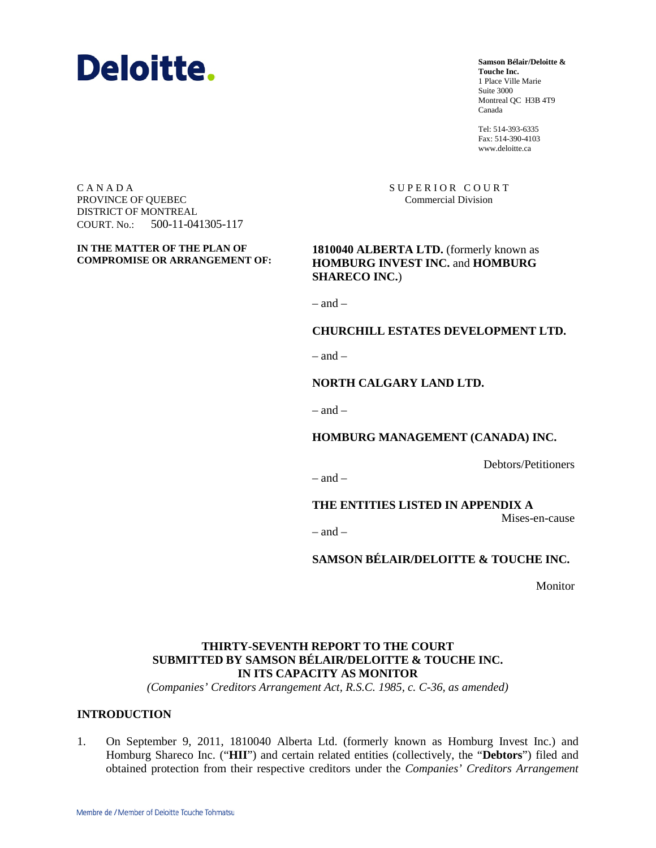

**Samson Bélair/Deloitte & Touche Inc.** 1 Place Ville Marie Suite 3000 Montreal QC H3B 4T9 Canada

Tel: 514-393-6335 Fax: 514-390-4103 www.deloitte.ca

SUPERIOR COURT Commercial Division

C A N A D A PROVINCE OF QUEBEC DISTRICT OF MONTREAL COURT. No.: 500-11-041305-117

**IN THE MATTER OF THE PLAN OF COMPROMISE OR ARRANGEMENT OF:** 

**1810040 ALBERTA LTD.** (formerly known as **HOMBURG INVEST INC.** and **HOMBURG SHARECO INC.**)

 $=$  and  $=$ 

#### **CHURCHILL ESTATES DEVELOPMENT LTD.**

 $=$  and  $=$ 

### **NORTH CALGARY LAND LTD.**

 $-$  and  $-$ 

**HOMBURG MANAGEMENT (CANADA) INC.**

Debtors/Petitioners

 $-$  and  $-$ 

**THE ENTITIES LISTED IN APPENDIX A**

Mises-en-cause

 $-$  and  $-$ 

**SAMSON BÉLAIR/DELOITTE & TOUCHE INC.**

Monitor

## **THIRTY-SEVENTH REPORT TO THE COURT SUBMITTED BY SAMSON BÉLAIR/DELOITTE & TOUCHE INC. IN ITS CAPACITY AS MONITOR**

*(Companies' Creditors Arrangement Act, R.S.C. 1985, c. C-36, as amended)*

### **INTRODUCTION**

1. On September 9, 2011, 1810040 Alberta Ltd. (formerly known as Homburg Invest Inc.) and Homburg Shareco Inc. ("**HII**") and certain related entities (collectively, the "**Debtors**") filed and obtained protection from their respective creditors under the *Companies' Creditors Arrangement*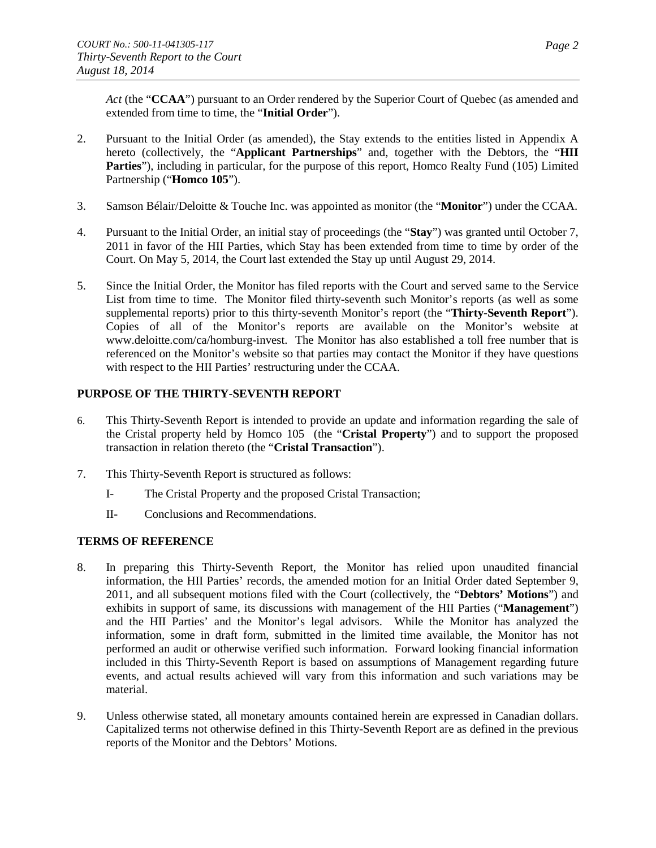*Act* (the "**CCAA**") pursuant to an Order rendered by the Superior Court of Quebec (as amended and extended from time to time, the "**Initial Order**").

- 2. Pursuant to the Initial Order (as amended), the Stay extends to the entities listed in Appendix A hereto (collectively, the "**Applicant Partnerships**" and, together with the Debtors, the "**HII**  Parties"), including in particular, for the purpose of this report, Homco Realty Fund (105) Limited Partnership ("**Homco 105**").
- 3. Samson Bélair/Deloitte & Touche Inc. was appointed as monitor (the "**Monitor**") under the CCAA.
- 4. Pursuant to the Initial Order, an initial stay of proceedings (the "**Stay**") was granted until October 7, 2011 in favor of the HII Parties, which Stay has been extended from time to time by order of the Court. On May 5, 2014, the Court last extended the Stay up until August 29, 2014.
- 5. Since the Initial Order, the Monitor has filed reports with the Court and served same to the Service List from time to time. The Monitor filed thirty-seventh such Monitor's reports (as well as some supplemental reports) prior to this thirty-seventh Monitor's report (the "**Thirty-Seventh Report**"). Copies of all of the Monitor's reports are available on the Monitor's website at www.deloitte.com/ca/homburg-invest. The Monitor has also established a toll free number that is referenced on the Monitor's website so that parties may contact the Monitor if they have questions with respect to the HII Parties' restructuring under the CCAA.

### **PURPOSE OF THE THIRTY-SEVENTH REPORT**

- 6. This Thirty-Seventh Report is intended to provide an update and information regarding the sale of the Cristal property held by Homco 105 (the "**Cristal Property**") and to support the proposed transaction in relation thereto (the "**Cristal Transaction**").
- 7. This Thirty-Seventh Report is structured as follows:
	- I- The Cristal Property and the proposed Cristal Transaction;
	- II- Conclusions and Recommendations.

## **TERMS OF REFERENCE**

- 8. In preparing this Thirty-Seventh Report, the Monitor has relied upon unaudited financial information, the HII Parties' records, the amended motion for an Initial Order dated September 9, 2011, and all subsequent motions filed with the Court (collectively, the "**Debtors' Motions**") and exhibits in support of same, its discussions with management of the HII Parties ("**Management**") and the HII Parties' and the Monitor's legal advisors. While the Monitor has analyzed the information, some in draft form, submitted in the limited time available, the Monitor has not performed an audit or otherwise verified such information. Forward looking financial information included in this Thirty-Seventh Report is based on assumptions of Management regarding future events, and actual results achieved will vary from this information and such variations may be material.
- 9. Unless otherwise stated, all monetary amounts contained herein are expressed in Canadian dollars. Capitalized terms not otherwise defined in this Thirty-Seventh Report are as defined in the previous reports of the Monitor and the Debtors' Motions.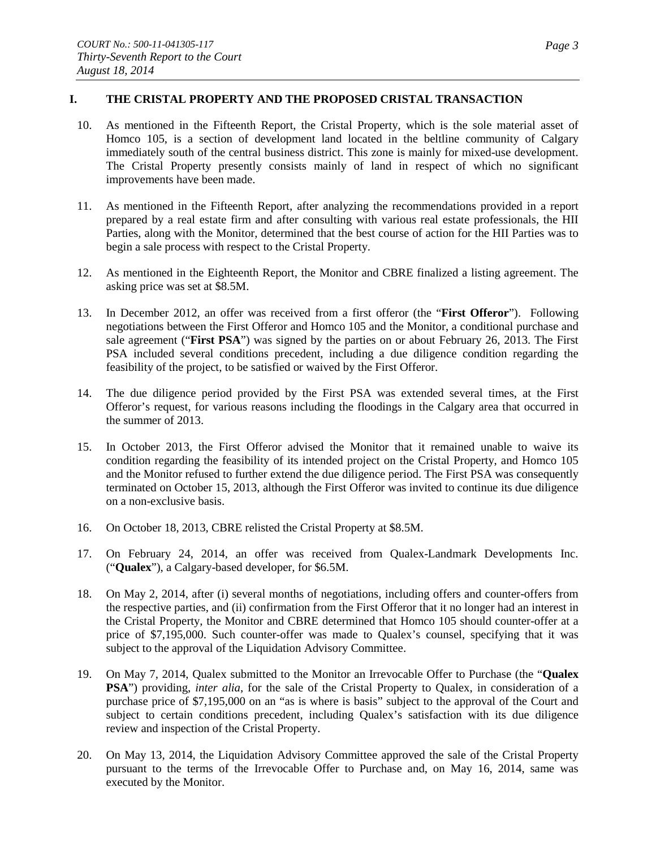## **I. THE CRISTAL PROPERTY AND THE PROPOSED CRISTAL TRANSACTION**

- 10. As mentioned in the Fifteenth Report, the Cristal Property, which is the sole material asset of Homco 105, is a section of development land located in the beltline community of Calgary immediately south of the central business district. This zone is mainly for mixed-use development. The Cristal Property presently consists mainly of land in respect of which no significant improvements have been made.
- 11. As mentioned in the Fifteenth Report, after analyzing the recommendations provided in a report prepared by a real estate firm and after consulting with various real estate professionals, the HII Parties, along with the Monitor, determined that the best course of action for the HII Parties was to begin a sale process with respect to the Cristal Property.
- 12. As mentioned in the Eighteenth Report, the Monitor and CBRE finalized a listing agreement. The asking price was set at \$8.5M.
- 13. In December 2012, an offer was received from a first offeror (the "**First Offeror**"). Following negotiations between the First Offeror and Homco 105 and the Monitor, a conditional purchase and sale agreement ("**First PSA**") was signed by the parties on or about February 26, 2013. The First PSA included several conditions precedent, including a due diligence condition regarding the feasibility of the project, to be satisfied or waived by the First Offeror.
- 14. The due diligence period provided by the First PSA was extended several times, at the First Offeror's request, for various reasons including the floodings in the Calgary area that occurred in the summer of 2013.
- 15. In October 2013, the First Offeror advised the Monitor that it remained unable to waive its condition regarding the feasibility of its intended project on the Cristal Property, and Homco 105 and the Monitor refused to further extend the due diligence period. The First PSA was consequently terminated on October 15, 2013, although the First Offeror was invited to continue its due diligence on a non-exclusive basis.
- 16. On October 18, 2013, CBRE relisted the Cristal Property at \$8.5M.
- 17. On February 24, 2014, an offer was received from Qualex-Landmark Developments Inc. ("**Qualex**"), a Calgary-based developer, for \$6.5M.
- 18. On May 2, 2014, after (i) several months of negotiations, including offers and counter-offers from the respective parties, and (ii) confirmation from the First Offeror that it no longer had an interest in the Cristal Property, the Monitor and CBRE determined that Homco 105 should counter-offer at a price of \$7,195,000. Such counter-offer was made to Qualex's counsel, specifying that it was subject to the approval of the Liquidation Advisory Committee.
- 19. On May 7, 2014, Qualex submitted to the Monitor an Irrevocable Offer to Purchase (the "**Qualex PSA**") providing, *inter alia*, for the sale of the Cristal Property to Qualex, in consideration of a purchase price of \$7,195,000 on an "as is where is basis" subject to the approval of the Court and subject to certain conditions precedent, including Qualex's satisfaction with its due diligence review and inspection of the Cristal Property.
- 20. On May 13, 2014, the Liquidation Advisory Committee approved the sale of the Cristal Property pursuant to the terms of the Irrevocable Offer to Purchase and, on May 16, 2014, same was executed by the Monitor.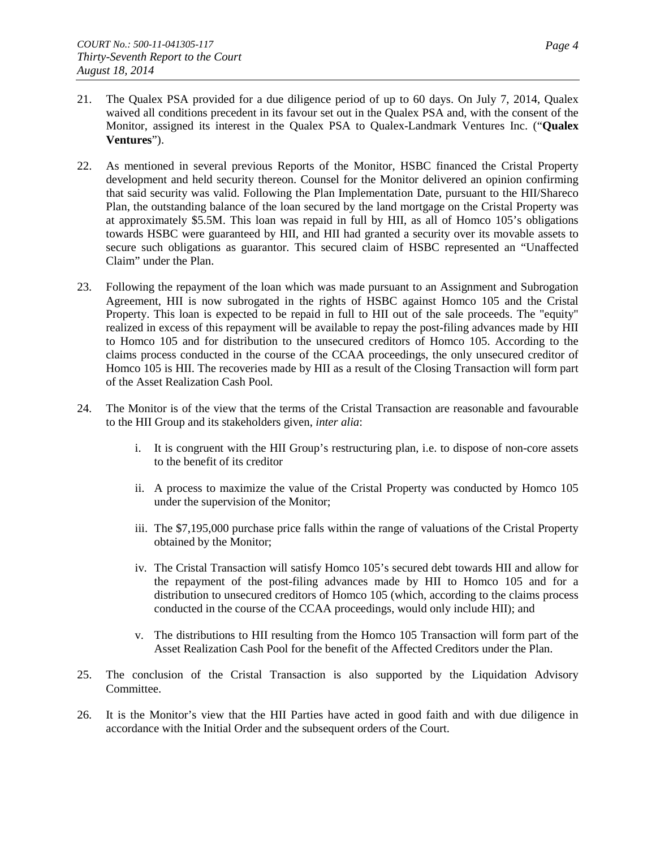- 21. The Qualex PSA provided for a due diligence period of up to 60 days. On July 7, 2014, Qualex waived all conditions precedent in its favour set out in the Qualex PSA and, with the consent of the Monitor, assigned its interest in the Qualex PSA to Qualex-Landmark Ventures Inc. ("**Qualex Ventures**").
- 22. As mentioned in several previous Reports of the Monitor, HSBC financed the Cristal Property development and held security thereon. Counsel for the Monitor delivered an opinion confirming that said security was valid. Following the Plan Implementation Date, pursuant to the HII/Shareco Plan, the outstanding balance of the loan secured by the land mortgage on the Cristal Property was at approximately \$5.5M. This loan was repaid in full by HII, as all of Homco 105's obligations towards HSBC were guaranteed by HII, and HII had granted a security over its movable assets to secure such obligations as guarantor. This secured claim of HSBC represented an "Unaffected Claim" under the Plan.
- 23. Following the repayment of the loan which was made pursuant to an Assignment and Subrogation Agreement, HII is now subrogated in the rights of HSBC against Homco 105 and the Cristal Property. This loan is expected to be repaid in full to HII out of the sale proceeds. The "equity" realized in excess of this repayment will be available to repay the post-filing advances made by HII to Homco 105 and for distribution to the unsecured creditors of Homco 105. According to the claims process conducted in the course of the CCAA proceedings, the only unsecured creditor of Homco 105 is HII. The recoveries made by HII as a result of the Closing Transaction will form part of the Asset Realization Cash Pool.
- 24. The Monitor is of the view that the terms of the Cristal Transaction are reasonable and favourable to the HII Group and its stakeholders given, *inter alia*:
	- i. It is congruent with the HII Group's restructuring plan, i.e. to dispose of non-core assets to the benefit of its creditor
	- ii. A process to maximize the value of the Cristal Property was conducted by Homco 105 under the supervision of the Monitor;
	- iii. The \$7,195,000 purchase price falls within the range of valuations of the Cristal Property obtained by the Monitor;
	- iv. The Cristal Transaction will satisfy Homco 105's secured debt towards HII and allow for the repayment of the post-filing advances made by HII to Homco 105 and for a distribution to unsecured creditors of Homco 105 (which, according to the claims process conducted in the course of the CCAA proceedings, would only include HII); and
	- v. The distributions to HII resulting from the Homco 105 Transaction will form part of the Asset Realization Cash Pool for the benefit of the Affected Creditors under the Plan.
- 25. The conclusion of the Cristal Transaction is also supported by the Liquidation Advisory Committee.
- 26. It is the Monitor's view that the HII Parties have acted in good faith and with due diligence in accordance with the Initial Order and the subsequent orders of the Court.